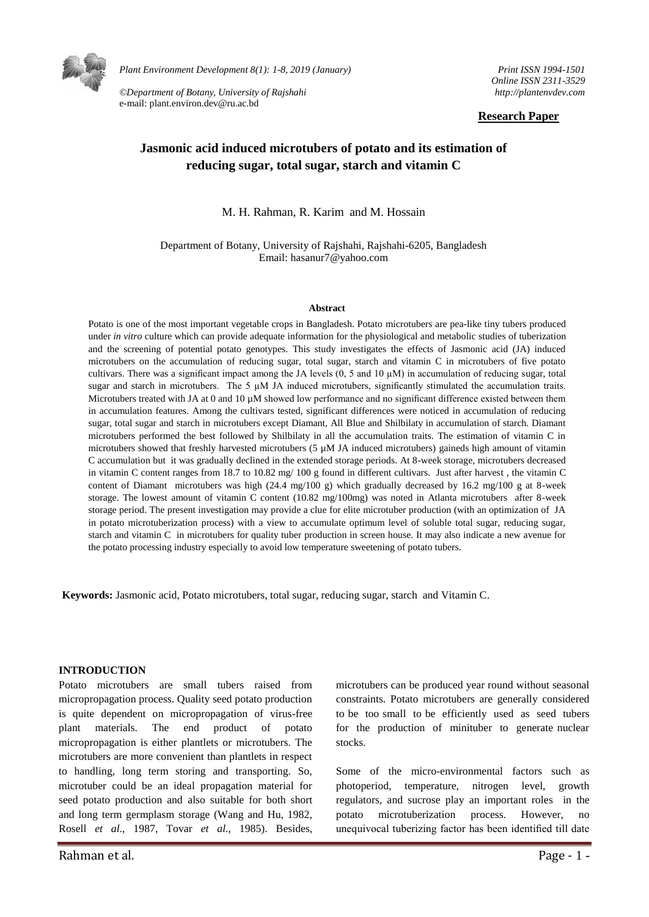

*Plant Environment Development 8(1): 1-8, 2019 (January)* 

*©Department of Botany, University of Rajshahi*  e-mail: plant.environ.dev@ru.ac.bd

*Print ISSN 1994-1501 Online ISSN 2311-3529 http://plantenvdev.com* 

#### **Research Paper**

# **Jasmonic acid induced microtubers of potato and its estimation of reducing sugar, total sugar, starch and vitamin C**

M. H. Rahman, R. Karim and M. Hossain

Department of Botany, University of Rajshahi, Rajshahi-6205, Bangladesh Email: hasanur7@yahoo.com

#### **Abstract**

Potato is one of the most important vegetable crops in Bangladesh. Potato microtubers are pea-like tiny tubers produced under *in vitro* culture which can provide adequate information for the physiological and metabolic studies of tuberization and the screening of potential potato genotypes. This study investigates the effects of Jasmonic acid (JA) induced microtubers on the accumulation of reducing sugar, total sugar, starch and vitamin C in microtubers of five potato cultivars. There was a significant impact among the JA levels  $(0, 5 \text{ and } 10 \mu\text{M})$  in accumulation of reducing sugar, total sugar and starch in microtubers. The 5  $\mu$ M JA induced microtubers, significantly stimulated the accumulation traits. Microtubers treated with JA at 0 and 10  $\mu$ M showed low performance and no significant difference existed between them in accumulation features. Among the cultivars tested, significant differences were noticed in accumulation of reducing sugar, total sugar and starch in microtubers except Diamant, All Blue and Shilbilaty in accumulation of starch. Diamant microtubers performed the best followed by Shilbilaty in all the accumulation traits. The estimation of vitamin C in microtubers showed that freshly harvested microtubers (5  $\mu$ M JA induced microtubers) gaineds high amount of vitamin C accumulation but it was gradually declined in the extended storage periods. At 8-week storage, microtubers decreased in vitamin C content ranges from 18.7 to 10.82 mg/ 100 g found in different cultivars. Just after harvest , the vitamin C content of Diamant microtubers was high (24.4 mg/100 g) which gradually decreased by 16.2 mg/100 g at 8-week storage. The lowest amount of vitamin C content (10.82 mg/100mg) was noted in Atlanta microtubers after 8-week storage period. The present investigation may provide a clue for elite microtuber production (with an optimization of JA in potato microtuberization process) with a view to accumulate optimum level of soluble total sugar, reducing sugar, starch and vitamin C in microtubers for quality tuber production in screen house. It may also indicate a new avenue for the potato processing industry especially to avoid low temperature sweetening of potato tubers.

**Keywords:** Jasmonic acid, Potato microtubers, total sugar, reducing sugar, starch and Vitamin C.

#### **INTRODUCTION**

Potato microtubers are small tubers raised from micropropagation process. Quality seed potato production is quite dependent on micropropagation of virus-free plant materials. The end product of potato micropropagation is either plantlets or microtubers. The microtubers are more convenient than plantlets in respect to handling, long term storing and transporting. So, microtuber could be an ideal propagation material for seed potato production and also suitable for both short and long term germplasm storage (Wang and Hu, 1982, Rosell *et al*., 1987, Tovar *et al*., 1985). Besides,

microtubers can be produced year round without seasonal constraints. Potato microtubers are generally considered to be too small to be efficiently used as seed tubers for the production of minituber to generate nuclear stocks.

Some of the micro-environmental factors such as photoperiod, temperature, nitrogen level, growth regulators, and sucrose play an important roles in the potato microtuberization process. However, no unequivocal tuberizing factor has been identified till date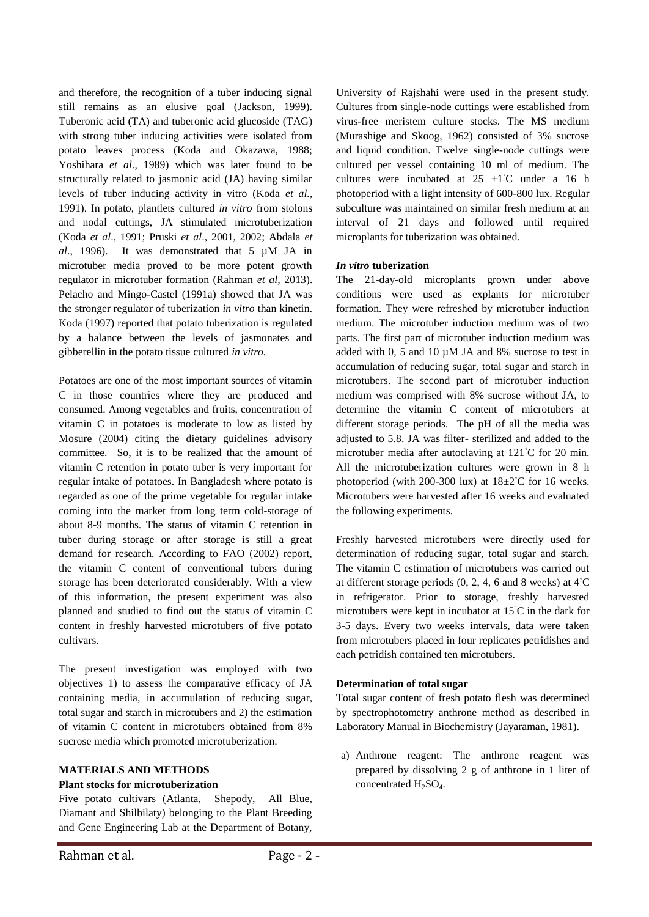and therefore, the recognition of a tuber inducing signal still remains as an elusive goal (Jackson, 1999). Tuberonic acid (TA) and tuberonic acid glucoside (TAG) with strong tuber inducing activities were isolated from potato leaves process (Koda and Okazawa, 1988; Yoshihara *et al*., 1989) which was later found to be structurally related to jasmonic acid (JA) having similar levels of tuber inducing activity in vitro (Koda *et al.,* 1991). In potato, plantlets cultured *in vitro* from stolons and nodal cuttings, JA stimulated microtuberization (Koda *et al*., 1991; Pruski *et al*., 2001, 2002; Abdala *et al*., 1996). It was demonstrated that 5 µM JA in microtuber media proved to be more potent growth regulator in microtuber formation (Rahman *et al,* 2013). Pelacho and Mingo-Castel (1991a) showed that JA was the stronger regulator of tuberization *in vitro* than kinetin. Koda (1997) reported that potato tuberization is regulated by a balance between the levels of jasmonates and gibberellin in the potato tissue cultured *in vitro.* 

Potatoes are one of the most important sources of vitamin C in those countries where they are produced and consumed. Among vegetables and fruits, concentration of vitamin C in potatoes is moderate to low as listed by Mosure (2004) citing the dietary guidelines advisory committee. So, it is to be realized that the amount of vitamin C retention in potato tuber is very important for regular intake of potatoes. In Bangladesh where potato is regarded as one of the prime vegetable for regular intake coming into the market from long term cold-storage of about 8-9 months. The status of vitamin C retention in tuber during storage or after storage is still a great demand for research. According to FAO (2002) report, the vitamin C content of conventional tubers during storage has been deteriorated considerably. With a view of this information, the present experiment was also planned and studied to find out the status of vitamin C content in freshly harvested microtubers of five potato cultivars.

The present investigation was employed with two objectives 1) to assess the comparative efficacy of JA containing media, in accumulation of reducing sugar, total sugar and starch in microtubers and 2) the estimation of vitamin C content in microtubers obtained from 8% sucrose media which promoted microtuberization.

### **MATERIALS AND METHODS**

### **Plant stocks for microtuberization**

Five potato cultivars (Atlanta, Shepody, All Blue, Diamant and Shilbilaty) belonging to the Plant Breeding and Gene Engineering Lab at the Department of Botany, University of Rajshahi were used in the present study. Cultures from single-node cuttings were established from virus-free meristem culture stocks. The MS medium (Murashige and Skoog, 1962) consisted of 3% sucrose and liquid condition. Twelve single-node cuttings were cultured per vessel containing 10 ml of medium. The cultures were incubated at  $25 \pm 1°C$  under a 16 h photoperiod with a light intensity of 600-800 lux. Regular subculture was maintained on similar fresh medium at an interval of 21 days and followed until required microplants for tuberization was obtained.

### *In vitro* **tuberization**

The 21-day-old microplants grown under above conditions were used as explants for microtuber formation. They were refreshed by microtuber induction medium. The microtuber induction medium was of two parts. The first part of microtuber induction medium was added with 0, 5 and 10 µM JA and 8% sucrose to test in accumulation of reducing sugar, total sugar and starch in microtubers. The second part of microtuber induction medium was comprised with 8% sucrose without JA, to determine the vitamin C content of microtubers at different storage periods. The pH of all the media was adjusted to 5.8. JA was filter- sterilized and added to the microtuber media after autoclaving at 121◦C for 20 min. All the microtuberization cultures were grown in 8 h photoperiod (with 200-300 lux) at  $18\pm2°C$  for 16 weeks. Microtubers were harvested after 16 weeks and evaluated the following experiments.

Freshly harvested microtubers were directly used for determination of reducing sugar, total sugar and starch. The vitamin C estimation of microtubers was carried out at different storage periods  $(0, 2, 4, 6, 8, 8, 8)$  at 4 $°C$ in refrigerator. Prior to storage, freshly harvested microtubers were kept in incubator at 15◦C in the dark for 3-5 days. Every two weeks intervals, data were taken from microtubers placed in four replicates petridishes and each petridish contained ten microtubers.

## **Determination of total sugar**

Total sugar content of fresh potato flesh was determined by spectrophotometry anthrone method as described in Laboratory Manual in Biochemistry (Jayaraman, 1981).

a) Anthrone reagent: The anthrone reagent was prepared by dissolving 2 g of anthrone in 1 liter of concentrated  $H_2SO_4$ .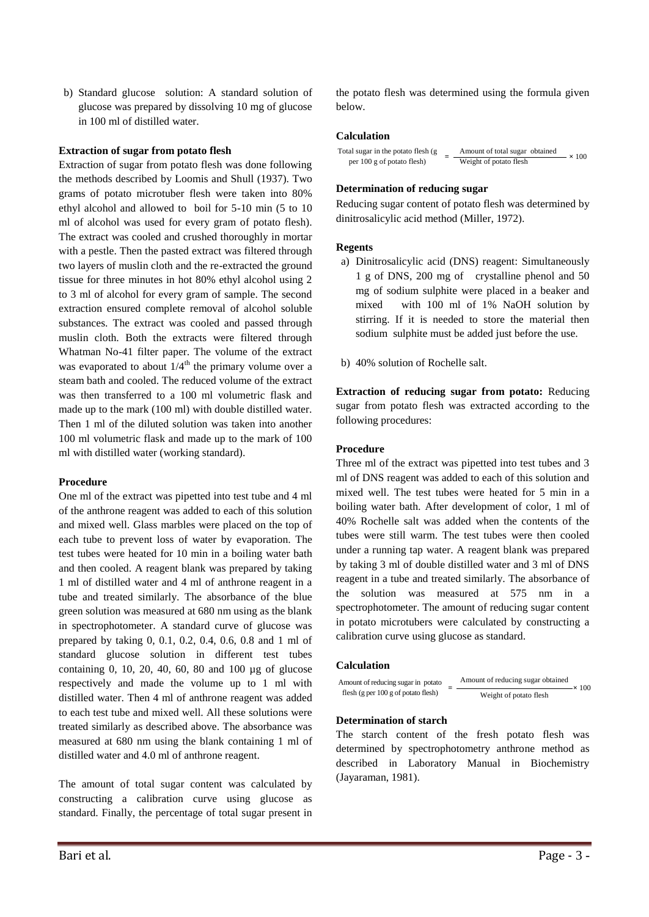b) Standard glucose solution: A standard solution of glucose was prepared by dissolving 10 mg of glucose in 100 ml of distilled water.

## **Extraction of sugar from potato flesh**

Extraction of sugar from potato flesh was done following the methods described by Loomis and Shull (1937). Two grams of potato microtuber flesh were taken into 80% ethyl alcohol and allowed to boil for 5-10 min (5 to 10 ml of alcohol was used for every gram of potato flesh). The extract was cooled and crushed thoroughly in mortar with a pestle. Then the pasted extract was filtered through two layers of muslin cloth and the re-extracted the ground tissue for three minutes in hot 80% ethyl alcohol using 2 to 3 ml of alcohol for every gram of sample. The second extraction ensured complete removal of alcohol soluble substances. The extract was cooled and passed through muslin cloth. Both the extracts were filtered through Whatman No-41 filter paper. The volume of the extract was evaporated to about  $1/4^{\text{th}}$  the primary volume over a steam bath and cooled. The reduced volume of the extract was then transferred to a 100 ml volumetric flask and made up to the mark (100 ml) with double distilled water. Then 1 ml of the diluted solution was taken into another 100 ml volumetric flask and made up to the mark of 100 ml with distilled water (working standard).

#### **Procedure**

One ml of the extract was pipetted into test tube and 4 ml of the anthrone reagent was added to each of this solution and mixed well. Glass marbles were placed on the top of each tube to prevent loss of water by evaporation. The test tubes were heated for 10 min in a boiling water bath and then cooled. A reagent blank was prepared by taking 1 ml of distilled water and 4 ml of anthrone reagent in a tube and treated similarly. The absorbance of the blue green solution was measured at 680 nm using as the blank in spectrophotometer. A standard curve of glucose was prepared by taking 0, 0.1, 0.2, 0.4, 0.6, 0.8 and 1 ml of standard glucose solution in different test tubes containing 0, 10, 20, 40, 60, 80 and 100 µg of glucose respectively and made the volume up to 1 ml with distilled water. Then 4 ml of anthrone reagent was added to each test tube and mixed well. All these solutions were treated similarly as described above. The absorbance was measured at 680 nm using the blank containing 1 ml of distilled water and 4.0 ml of anthrone reagent.

The amount of total sugar content was calculated by constructing a calibration curve using glucose as standard. Finally, the percentage of total sugar present in

the potato flesh was determined using the formula given below.

### **Calculation**

| Total sugar in the potato flesh (g) |  | Amount of total sugar obtained<br>the contract of the contract of the contract of the contract of the contract of |  | $\times 100$ |
|-------------------------------------|--|-------------------------------------------------------------------------------------------------------------------|--|--------------|
| per 100 g of potato flesh)          |  | Weight of potato flesh                                                                                            |  |              |

#### **Determination of reducing sugar**

Reducing sugar content of potato flesh was determined by dinitrosalicylic acid method (Miller, 1972).

#### **Regents**

- a) Dinitrosalicylic acid (DNS) reagent: Simultaneously 1 g of DNS, 200 mg of crystalline phenol and 50 mg of sodium sulphite were placed in a beaker and mixed with 100 ml of 1% NaOH solution by stirring. If it is needed to store the material then sodium sulphite must be added just before the use.
- b) 40% solution of Rochelle salt.

**Extraction of reducing sugar from potato:** Reducing sugar from potato flesh was extracted according to the following procedures:

#### **Procedure**

Three ml of the extract was pipetted into test tubes and 3 ml of DNS reagent was added to each of this solution and mixed well. The test tubes were heated for 5 min in a boiling water bath. After development of color, 1 ml of 40% Rochelle salt was added when the contents of the tubes were still warm. The test tubes were then cooled under a running tap water. A reagent blank was prepared by taking 3 ml of double distilled water and 3 ml of DNS reagent in a tube and treated similarly. The absorbance of the solution was measured at 575 nm in a spectrophotometer. The amount of reducing sugar content in potato microtubers were calculated by constructing a calibration curve using glucose as standard.

#### **Calculation**

| Amount of reducing sugar in potato<br>flesh (g per $100$ g of potato flesh) | Amount of reducing sugar obtained | $\times 100$ |
|-----------------------------------------------------------------------------|-----------------------------------|--------------|
|                                                                             | Weight of potato flesh            |              |

### **Determination of starch**

The starch content of the fresh potato flesh was determined by spectrophotometry anthrone method as described in Laboratory Manual in Biochemistry (Jayaraman, 1981).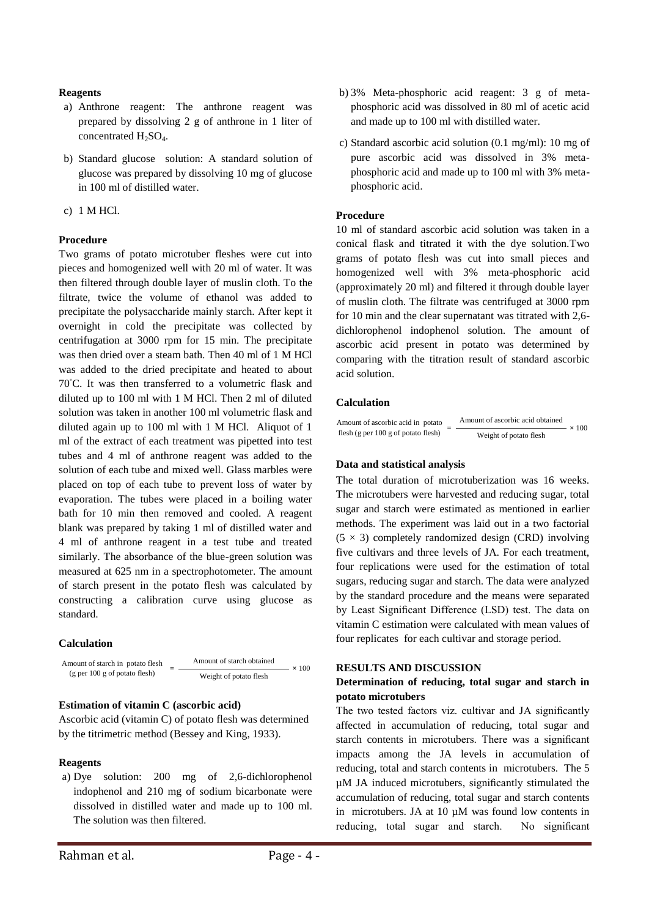# **Reagents**

- a) Anthrone reagent: The anthrone reagent was prepared by dissolving 2 g of anthrone in 1 liter of concentrated  $H_2SO_4$ .
- b) Standard glucose solution: A standard solution of glucose was prepared by dissolving 10 mg of glucose in 100 ml of distilled water.
- c) 1 M HCl.

# **Procedure**

Two grams of potato microtuber fleshes were cut into pieces and homogenized well with 20 ml of water. It was then filtered through double layer of muslin cloth. To the filtrate, twice the volume of ethanol was added to precipitate the polysaccharide mainly starch. After kept it overnight in cold the precipitate was collected by centrifugation at 3000 rpm for 15 min. The precipitate was then dried over a steam bath. Then 40 ml of 1 M HCl was added to the dried precipitate and heated to about 70◦C. It was then transferred to a volumetric flask and diluted up to 100 ml with 1 M HCl. Then 2 ml of diluted solution was taken in another 100 ml volumetric flask and diluted again up to 100 ml with 1 M HCl. Aliquot of 1 ml of the extract of each treatment was pipetted into test tubes and 4 ml of anthrone reagent was added to the solution of each tube and mixed well. Glass marbles were placed on top of each tube to prevent loss of water by evaporation. The tubes were placed in a boiling water bath for 10 min then removed and cooled. A reagent blank was prepared by taking 1 ml of distilled water and 4 ml of anthrone reagent in a test tube and treated similarly. The absorbance of the blue-green solution was measured at 625 nm in a spectrophotometer. The amount of starch present in the potato flesh was calculated by constructing a calibration curve using glucose as standard.

### **Calculation**



# **Estimation of vitamin C (ascorbic acid)**

Ascorbic acid (vitamin C) of potato flesh was determined by the titrimetric method (Bessey and King, 1933).

### **Reagents**

a) Dye solution: 200 mg of 2,6-dichlorophenol indophenol and 210 mg of sodium bicarbonate were dissolved in distilled water and made up to 100 ml. The solution was then filtered.

c) Standard ascorbic acid solution (0.1 mg/ml): 10 mg of pure ascorbic acid was dissolved in 3% metaphosphoric acid and made up to 100 ml with 3% metaphosphoric acid.

# **Procedure**

10 ml of standard ascorbic acid solution was taken in a conical flask and titrated it with the dye solution.Two grams of potato flesh was cut into small pieces and homogenized well with 3% meta-phosphoric acid (approximately 20 ml) and filtered it through double layer of muslin cloth. The filtrate was centrifuged at 3000 rpm for 10 min and the clear supernatant was titrated with 2,6 dichlorophenol indophenol solution. The amount of ascorbic acid present in potato was determined by comparing with the titration result of standard ascorbic acid solution.

## **Calculation**

| Amount of ascorbic acid in potato   | Amount of ascorbic acid obtained |              |
|-------------------------------------|----------------------------------|--------------|
| flesh (g per 100 g of potato flesh) | Weight of potato flesh           | $\times 100$ |

### **Data and statistical analysis**

The total duration of microtuberization was 16 weeks. The microtubers were harvested and reducing sugar, total sugar and starch were estimated as mentioned in earlier methods. The experiment was laid out in a two factorial  $(5 \times 3)$  completely randomized design (CRD) involving five cultivars and three levels of JA. For each treatment, four replications were used for the estimation of total sugars, reducing sugar and starch. The data were analyzed by the standard procedure and the means were separated by Least Significant Difference (LSD) test. The data on vitamin C estimation were calculated with mean values of four replicates for each cultivar and storage period.

### **RESULTS AND DISCUSSION**

## **Determination of reducing, total sugar and starch in potato microtubers**

The two tested factors viz. cultivar and JA significantly affected in accumulation of reducing, total sugar and starch contents in microtubers. There was a significant impacts among the JA levels in accumulation of reducing, total and starch contents in microtubers. The 5 µM JA induced microtubers, significantly stimulated the accumulation of reducing, total sugar and starch contents in microtubers. JA at 10 µM was found low contents in reducing, total sugar and starch. No significant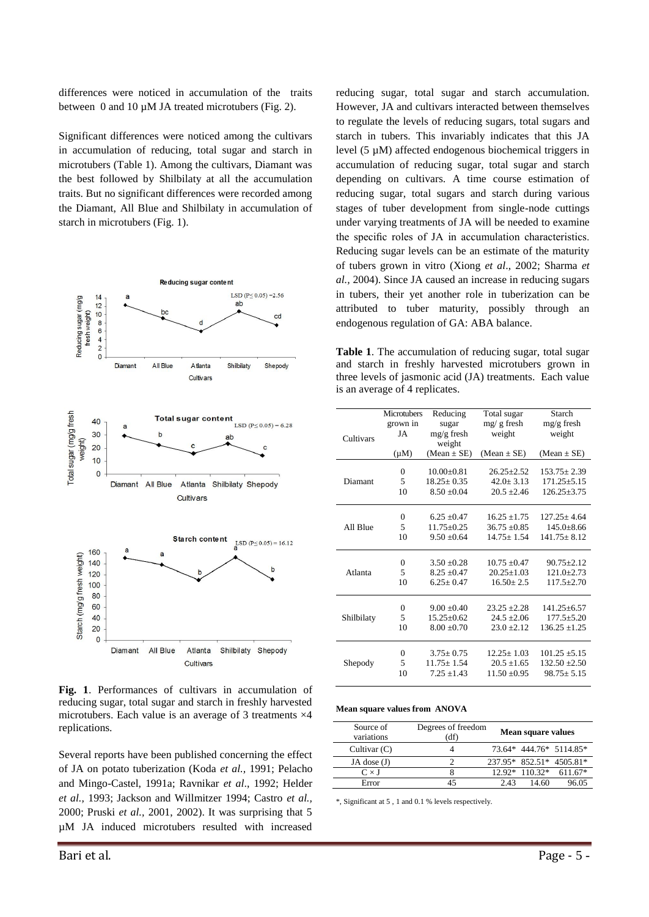differences were noticed in accumulation of the traits between 0 and 10  $\mu$ M JA treated microtubers (Fig. 2).

Significant differences were noticed among the cultivars in accumulation of reducing, total sugar and starch in microtubers (Table 1). Among the cultivars, Diamant was the best followed by Shilbilaty at all the accumulation traits. But no significant differences were recorded among the Diamant, All Blue and Shilbilaty in accumulation of starch in microtubers (Fig. 1).



**Fig. 1**. Performances of cultivars in accumulation of reducing sugar, total sugar and starch in freshly harvested microtubers. Each value is an average of 3 treatments  $\times$ 4 replications.

Several reports have been published concerning the effect of JA on potato tuberization (Koda *et al.,* 1991; Pelacho and Mingo-Castel, 1991a; Ravnikar *et al*., 1992; Helder *et al.,* 1993; Jackson and Willmitzer 1994; Castro *et al.,* 2000; Pruski *et al.,* 2001, 2002). It was surprising that 5 µM JA induced microtubers resulted with increased

reducing sugar, total sugar and starch accumulation. However, JA and cultivars interacted between themselves to regulate the levels of reducing sugars, total sugars and starch in tubers. This invariably indicates that this JA level (5 µM) affected endogenous biochemical triggers in accumulation of reducing sugar, total sugar and starch depending on cultivars. A time course estimation of reducing sugar, total sugars and starch during various stages of tuber development from single-node cuttings under varying treatments of JA will be needed to examine the specific roles of JA in accumulation characteristics. Reducing sugar levels can be an estimate of the maturity of tubers grown in vitro (Xiong *et al*., 2002; Sharma *et al.,* 2004). Since JA caused an increase in reducing sugars in tubers, their yet another role in tuberization can be attributed to tuber maturity, possibly through an endogenous regulation of GA: ABA balance.

**Table 1**. The accumulation of reducing sugar, total sugar and starch in freshly harvested microtubers grown in three levels of jasmonic acid (JA) treatments. Each value is an average of 4 replicates.

|            | <b>Microtubers</b> | Reducing         | Total sugar      | Starch            |
|------------|--------------------|------------------|------------------|-------------------|
|            | grown in           | sugar            | $mg/g$ fresh     | $mg/g$ fresh      |
| Cultivars  | JA                 | $mg/g$ fresh     | weight           | weight            |
|            |                    | weight           |                  |                   |
|            | $(\mu M)$          | $(Mean \pm SE)$  | $(Mean \pm SE)$  | $(Mean \pm SE)$   |
|            | 0                  | $10.00 \pm 0.81$ | $26.25 + 2.52$   | $153.75 \pm 2.39$ |
|            |                    |                  |                  |                   |
| Diamant    | 5                  | $18.25 \pm 0.35$ | $42.0 \pm 3.13$  | $171.25 \pm 5.15$ |
|            | 10                 | $8.50 + 0.04$    | $20.5 + 2.46$    | $126.25 \pm 3.75$ |
|            |                    |                  |                  |                   |
|            | $\theta$           | $6.25 + 0.47$    | $16.25 + 1.75$   | $127.25 + 4.64$   |
| All Blue   | 5                  | $11.75 + 0.25$   | $36.75 + 0.85$   | $145.0 + 8.66$    |
|            | 10                 | $9.50 + 0.64$    | $14.75 + 1.54$   | $141.75 + 8.12$   |
|            |                    |                  |                  |                   |
|            | 0                  | $3.50 + 0.28$    | $10.75 + 0.47$   | $90.75 + 2.12$    |
| Atlanta    | 5                  | $8.25 + 0.47$    | $20.25 + 1.03$   | $121.0 + 2.73$    |
|            | 10                 | $6.25 + 0.47$    | $16.50 + 2.5$    | $117.5 + 2.70$    |
|            |                    |                  |                  |                   |
|            | $\overline{0}$     | $9.00 + 0.40$    | $23.25 + 2.28$   | $141.25 \pm 6.57$ |
| Shilbilaty | 5                  | $15.25 + 0.62$   | $24.5 \pm 2.06$  | $177.5 \pm 5.20$  |
|            | 10                 | $8.00 + 0.70$    | $23.0 + 2.12$    | $136.25 \pm 1.25$ |
|            |                    |                  |                  |                   |
|            | $\Omega$           | $3.75 \pm 0.75$  | $12.25 + 1.03$   | $101.25 \pm 5.15$ |
| Shepody    | 5                  | $11.75 \pm 1.54$ | $20.5 \pm 1.65$  | $132.50 \pm 2.50$ |
|            | 10                 | $7.25 + 1.43$    | $11.50 \pm 0.95$ | $98.75 + 5.15$    |
|            |                    |                  |                  |                   |

#### **Mean square values from ANOVA**

| Source of<br>variations | Degrees of freedom<br>(df) | Mean square values           |
|-------------------------|----------------------------|------------------------------|
| Cultivar $(C)$          |                            | 73.64* 444.76* 5114.85*      |
| JA dose $(J)$           |                            | 237.95* 852.51* 4505.81*     |
| $C \times J$            |                            | $12.92*110.32*$<br>$611.67*$ |
| Error                   |                            | 96.05<br>2.43<br>14.60       |

\*, Significant at 5 , 1 and 0.1 % levels respectively.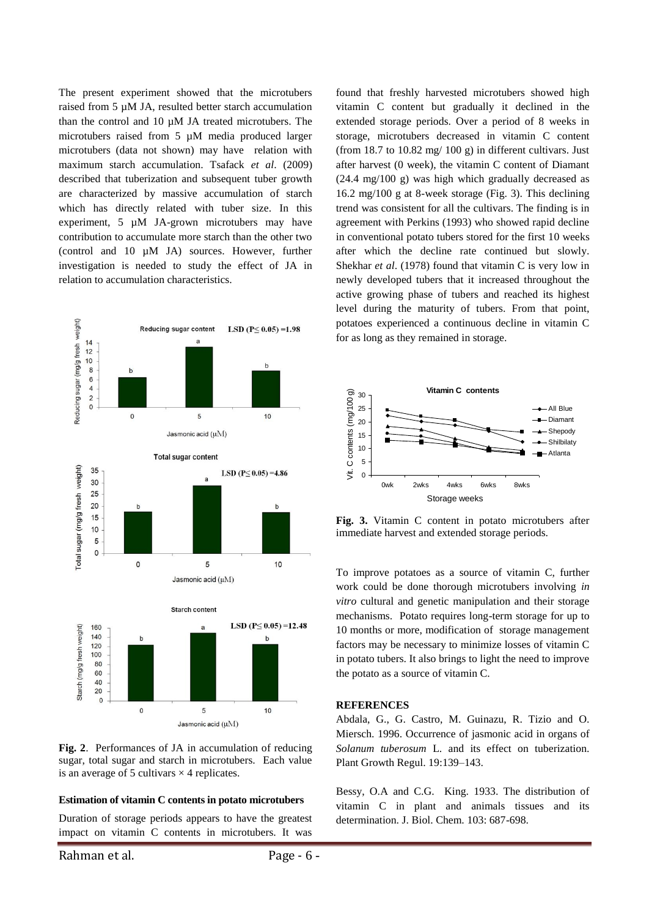The present experiment showed that the microtubers raised from 5 µM JA, resulted better starch accumulation than the control and  $10 \mu M$  JA treated microtubers. The microtubers raised from 5 µM media produced larger microtubers (data not shown) may have relation with maximum starch accumulation. Tsafack *et al*. (2009) described that tuberization and subsequent tuber growth are characterized by massive accumulation of starch which has directly related with tuber size. In this experiment, 5 µM JA-grown microtubers may have contribution to accumulate more starch than the other two (control and 10 µM JA) sources. However, further investigation is needed to study the effect of JA in relation to accumulation characteristics.



**Fig. 2**. Performances of JA in accumulation of reducing sugar, total sugar and starch in microtubers. Each value is an average of 5 cultivars  $\times$  4 replicates.

### **Estimation of vitamin C contents in potato microtubers**

Duration of storage periods appears to have the greatest impact on vitamin C contents in microtubers. It was

found that freshly harvested microtubers showed high vitamin C content but gradually it declined in the extended storage periods. Over a period of 8 weeks in storage, microtubers decreased in vitamin C content (from 18.7 to 10.82 mg/ 100 g) in different cultivars. Just after harvest (0 week), the vitamin C content of Diamant (24.4 mg/100 g) was high which gradually decreased as 16.2 mg/100 g at 8-week storage (Fig. 3). This declining trend was consistent for all the cultivars. The finding is in agreement with Perkins (1993) who showed rapid decline in conventional potato tubers stored for the first 10 weeks after which the decline rate continued but slowly. Shekhar *et al*. (1978) found that vitamin C is very low in newly developed tubers that it increased throughout the active growing phase of tubers and reached its highest level during the maturity of tubers. From that point, potatoes experienced a continuous decline in vitamin C for as long as they remained in storage.



**Fig. 3.** Vitamin C content in potato microtubers after immediate harvest and extended storage periods.

To improve potatoes as a source of vitamin C, further work could be done thorough microtubers involving *in vitro* cultural and genetic manipulation and their storage mechanisms. Potato requires long-term storage for up to 10 months or more, modification of storage management factors may be necessary to minimize losses of vitamin C in potato tubers. It also brings to light the need to improve the potato as a source of vitamin C.

#### **REFERENCES**

Abdala, G., G. Castro, M. Guinazu, R. Tizio and O. Miersch. 1996. Occurrence of jasmonic acid in organs of *Solanum tuberosum* L. and its effect on tuberization. Plant Growth Regul. 19:139–143.

Bessy, O.A and C.G. King. 1933. The distribution of vitamin C in plant and animals tissues and its determination. J. Biol. Chem. 103: 687-698.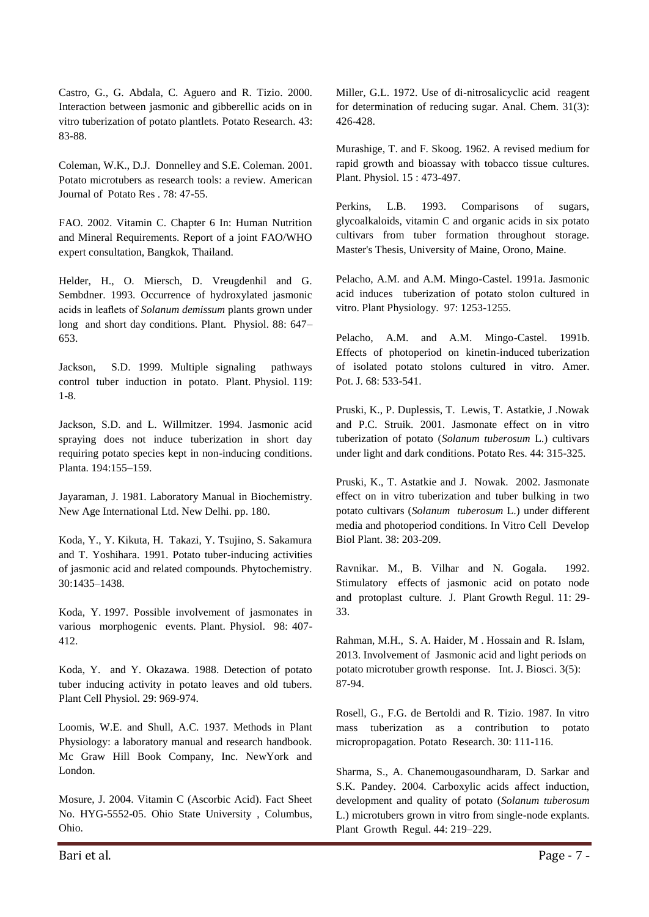Castro, G., G. Abdala, C. Aguero and R. Tizio. 2000. Interaction between jasmonic and gibberellic acids on in vitro tuberization of potato plantlets. Potato Research. 43: 83-88.

Coleman, W.K., D.J. Donnelley and S.E. Coleman. 2001. Potato microtubers as research tools: a review. American Journal of Potato Res . 78: 47-55.

FAO. 2002. Vitamin C. Chapter 6 In: Human Nutrition and Mineral Requirements. Report of a joint FAO/WHO expert consultation, Bangkok, Thailand.

Helder, H., O. Miersch, D. Vreugdenhil and G. Sembdner. 1993. Occurrence of hydroxylated jasmonic acids in leaflets of *Solanum demissum* plants grown under long and short day conditions. Plant. Physiol. 88: 647– 653.

Jackson, S.D. 1999. Multiple signaling pathways control tuber induction in potato. Plant. Physiol. 119: 1-8.

Jackson, S.D. and L. Willmitzer. 1994. Jasmonic acid spraying does not induce tuberization in short day requiring potato species kept in non-inducing conditions. Planta. 194:155–159.

Jayaraman, J. 1981. Laboratory Manual in Biochemistry. New Age International Ltd. New Delhi. pp. 180.

Koda, Y., Y. Kikuta, H. Takazi, Y. Tsujino, S. Sakamura and T. Yoshihara. 1991. Potato tuber-inducing activities of jasmonic acid and related compounds. Phytochemistry. 30:1435–1438.

Koda, Y. 1997. Possible involvement of jasmonates in various morphogenic events. Plant. Physiol. 98: 407- 412.

Koda, Y. and Y. Okazawa. 1988. Detection of potato tuber inducing activity in potato leaves and old tubers. Plant Cell Physiol. 29: 969-974.

Loomis, W.E. and Shull, A.C. 1937. Methods in Plant Physiology: a laboratory manual and research handbook. Mc Graw Hill Book Company, Inc. NewYork and London.

Mosure, J. 2004. Vitamin C (Ascorbic Acid). Fact Sheet No. HYG-5552-05. Ohio State University , Columbus, Ohio.

Miller, G.L. 1972. Use of di-nitrosalicyclic acid reagent for determination of reducing sugar. Anal. Chem. 31(3): 426-428.

Murashige, T. and F. Skoog. 1962. A revised medium for rapid growth and bioassay with tobacco tissue cultures. Plant. Physiol. 15 : 473-497.

Perkins, L.B. 1993. Comparisons of sugars, glycoalkaloids, vitamin C and organic acids in six potato cultivars from tuber formation throughout storage. Master's Thesis, University of Maine, Orono, Maine.

Pelacho, A.M. and A.M. Mingo-Castel. 1991a. Jasmonic acid induces tuberization of potato stolon cultured in vitro. Plant Physiology. 97: 1253-1255.

Pelacho, A.M. and A.M. Mingo-Castel. 1991b. Effects of photoperiod on kinetin-induced tuberization of isolated potato stolons cultured in vitro. Amer. Pot. J. 68: 533-541.

Pruski, K., P. Duplessis, T. Lewis, T. Astatkie, J .Nowak and P.C. Struik. 2001. Jasmonate effect on in vitro tuberization of potato (*Solanum tuberosum* L.) cultivars under light and dark conditions. Potato Res. 44: 315-325.

Pruski, K., T. Astatkie and J. Nowak. 2002. Jasmonate effect on in vitro tuberization and tuber bulking in two potato cultivars (*Solanum tuberosum* L.) under different media and photoperiod conditions. In Vitro Cell Develop Biol Plant. 38: 203-209.

Ravnikar. M., B. Vilhar and N. Gogala. 1992. Stimulatory effects of jasmonic acid on potato node and protoplast culture. J. Plant Growth Regul. 11: 29- 33.

Rahman, M.H., S. A. Haider, M . Hossain and R. Islam, 2013. Involvement of Jasmonic acid and light periods on potato microtuber growth response. Int. J. Biosci. 3(5): 87-94.

Rosell, G., F.G. de Bertoldi and R. Tizio. 1987. In vitro mass tuberization as a contribution to potato micropropagation. Potato Research. 30: 111-116.

Sharma, S., A. Chanemougasoundharam, D. Sarkar and S.K. Pandey. 2004. Carboxylic acids affect induction, development and quality of potato (*Solanum tuberosum* L.) microtubers grown in vitro from single-node explants. Plant Growth Regul. 44: 219–229.